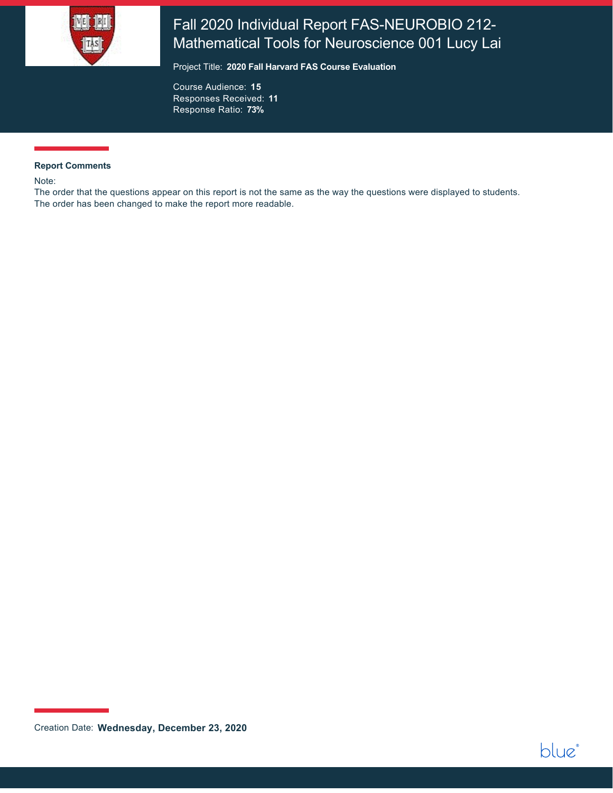

# Fall 2020 Individual Report FAS-NEUROBIO 212- Mathematical Tools for Neuroscience 001 Lucy Lai

Project Title: **2020 Fall Harvard FAS Course Evaluation**

Course Audience: **15** Responses Received: **11** Response Ratio: **73%**

#### **Report Comments**

Note:

The order that the questions appear on this report is not the same as the way the questions were displayed to students. The order has been changed to make the report more readable.

Creation Date: **Wednesday, December 23, 2020**

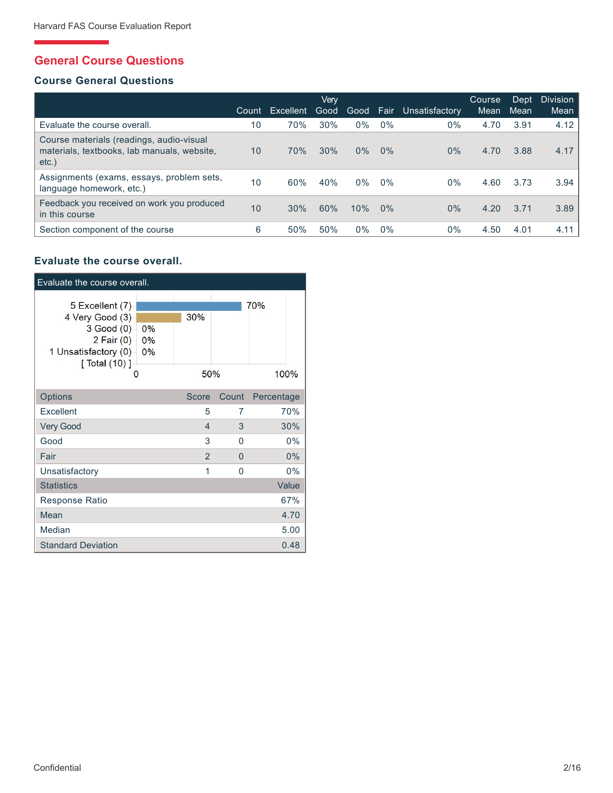# **General Course Questions**

## **Course General Questions**

|                                                                                                     | Count | Excellent | Verv<br>Good | Good  | Fair  | Unsatisfactory | Course<br>Mean | Dept<br>Mean | <b>Division</b><br>Mean |
|-----------------------------------------------------------------------------------------------------|-------|-----------|--------------|-------|-------|----------------|----------------|--------------|-------------------------|
| Evaluate the course overall.                                                                        | 10    | 70%       | 30%          | $0\%$ | $0\%$ | $0\%$          | 4.70           | 3.91         | 4.12                    |
| Course materials (readings, audio-visual<br>materials, textbooks, lab manuals, website,<br>$etc.$ ) | 10    | 70%       | 30%          | 0%    | 0%    | $0\%$          | 4.70           | 3.88         | 4.17                    |
| Assignments (exams, essays, problem sets,<br>language homework, etc.)                               | 10    | 60%       | 40%          | $0\%$ | 0%    | $0\%$          | 4.60           | 3.73         | 3.94                    |
| Feedback you received on work you produced<br>in this course                                        | 10    | 30%       | 60%          | 10%   | $0\%$ | $0\%$          | 4.20           | 3.71         | 3.89                    |
| Section component of the course                                                                     | 6     | 50%       | 50%          | 0%    | 0%    | $0\%$          | 4.50           | 4.01         | 4.11                    |

# **Evaluate the course overall.**

| Evaluate the course overall.                                                                                                      |                         |                |          |            |
|-----------------------------------------------------------------------------------------------------------------------------------|-------------------------|----------------|----------|------------|
| 5 Excellent (7)<br>4 Very Good (3)<br>$3$ Good $(0)$ –<br>2 Fair $(0)$<br>1 Unsatisfactory (0)-<br>$\lceil$ Total $(10)$ $\rceil$ | $0\%$<br>$0\%$<br>$0\%$ | 30%            |          | 70%        |
| $\Omega$                                                                                                                          |                         | 50%            |          | 100%       |
| Options                                                                                                                           |                         | <b>Score</b>   | Count    | Percentage |
| Excellent                                                                                                                         |                         | 5              | 7        | 70%        |
| <b>Very Good</b>                                                                                                                  |                         | 4              | 3        | 30%        |
| Good                                                                                                                              |                         | 3              | $\Omega$ | $0\%$      |
| Fair                                                                                                                              |                         | $\overline{2}$ | $\Omega$ | 0%         |
| Unsatisfactory                                                                                                                    |                         | 1              | $\Omega$ | $0\%$      |
| <b>Statistics</b>                                                                                                                 |                         |                |          | Value      |
| Response Ratio                                                                                                                    |                         |                |          | 67%        |
| Mean                                                                                                                              |                         |                |          | 4.70       |
| Median                                                                                                                            |                         |                |          | 5.00       |
| <b>Standard Deviation</b>                                                                                                         |                         |                |          | 0.48       |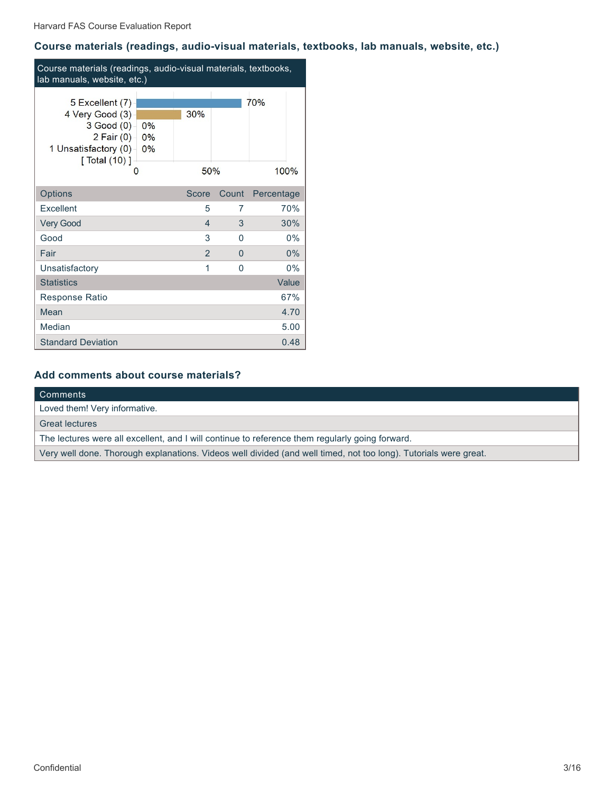# **Course materials (readings, audio-visual materials, textbooks, lab manuals, website, etc.)**

| Course materials (readings, audio-visual materials, textbooks,<br>lab manuals, website, etc.)                        |                         |                |              |             |  |  |
|----------------------------------------------------------------------------------------------------------------------|-------------------------|----------------|--------------|-------------|--|--|
| 5 Excellent (7)<br>4 Very Good (3)<br>$3$ Good $(0)$<br>2 Fair $(0)$<br>1 Unsatisfactory (0)-<br>[ Total (10) ]<br>O | $0\%$<br>$0\%$<br>$0\%$ | 30%<br>50%     |              | 70%<br>100% |  |  |
| Options                                                                                                              |                         | Score          | Count        | Percentage  |  |  |
| Excellent                                                                                                            |                         | 5              | 7            | 70%         |  |  |
| <b>Very Good</b>                                                                                                     |                         | 4              | 3            | 30%         |  |  |
| Good                                                                                                                 |                         | 3              | <sup>0</sup> | 0%          |  |  |
| Fair                                                                                                                 |                         | $\overline{2}$ | $\Omega$     | 0%          |  |  |
| Unsatisfactory                                                                                                       |                         | 1              | 0            | $0\%$       |  |  |
| <b>Statistics</b>                                                                                                    |                         |                |              | Value       |  |  |
| Response Ratio                                                                                                       |                         |                |              | 67%         |  |  |
| Mean                                                                                                                 |                         |                |              | 4.70        |  |  |
| Median                                                                                                               |                         |                |              | 5.00        |  |  |
| <b>Standard Deviation</b>                                                                                            |                         |                |              | 0.48        |  |  |

# **Add comments about course materials?**

| Comments                                                                                                         |
|------------------------------------------------------------------------------------------------------------------|
| Loved them! Very informative.                                                                                    |
| <b>Great lectures</b>                                                                                            |
| The lectures were all excellent, and I will continue to reference them regularly going forward.                  |
| Very well done. Thorough explanations. Videos well divided (and well timed, not too long). Tutorials were great. |
|                                                                                                                  |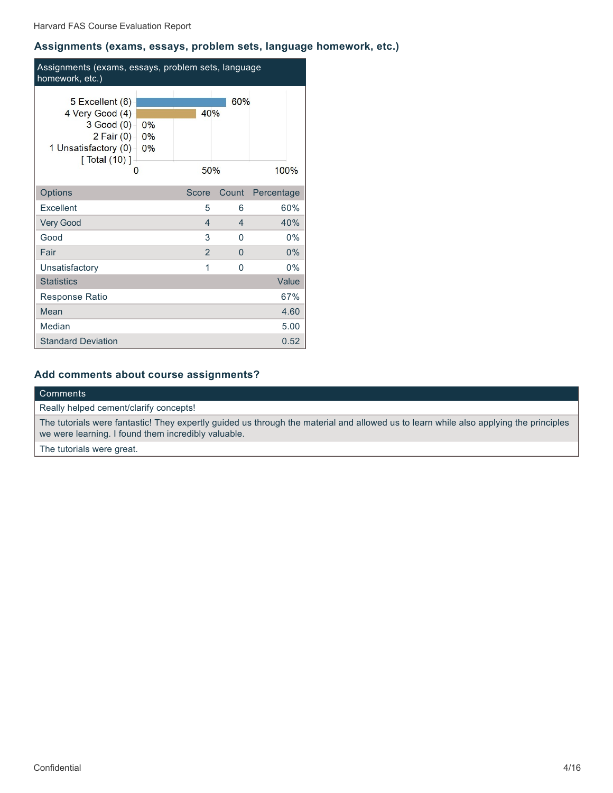## **Assignments (exams, essays, problem sets, language homework, etc.)**

| Assignments (exams, essays, problem sets, language<br>homework, etc.)                                                |                         |                |                |            |  |  |
|----------------------------------------------------------------------------------------------------------------------|-------------------------|----------------|----------------|------------|--|--|
| 5 Excellent (6)<br>4 Very Good (4)<br>$3$ Good $(0)$<br>2 Fair $(0)$<br>1 Unsatisfactory (0)-<br>[ Total (10) ]<br>O | $0\%$<br>$0\%$<br>$0\%$ | 40%<br>50%     | 60%            | 100%       |  |  |
| Options                                                                                                              |                         | <b>Score</b>   | Count          | Percentage |  |  |
| Excellent                                                                                                            |                         | 5              | 6              | 60%        |  |  |
| <b>Very Good</b>                                                                                                     |                         | $\overline{4}$ | $\overline{4}$ | 40%        |  |  |
| Good                                                                                                                 |                         | 3              | 0              | $0\%$      |  |  |
| Fair                                                                                                                 |                         | $\overline{2}$ | $\Omega$       | 0%         |  |  |
| Unsatisfactory                                                                                                       |                         | 1              | $\Omega$       | $0\%$      |  |  |
| <b>Statistics</b>                                                                                                    |                         |                |                | Value      |  |  |
| <b>Response Ratio</b>                                                                                                |                         |                |                | 67%        |  |  |
| Mean                                                                                                                 |                         |                |                | 4.60       |  |  |
| Median                                                                                                               |                         |                |                | 5.00       |  |  |
| <b>Standard Deviation</b>                                                                                            |                         |                |                | 0.52       |  |  |

# **Add comments about course assignments?**

#### Comments

Really helped cement/clarify concepts!

The tutorials were fantastic! They expertly guided us through the material and allowed us to learn while also applying the principles we were learning. I found them incredibly valuable.

The tutorials were great.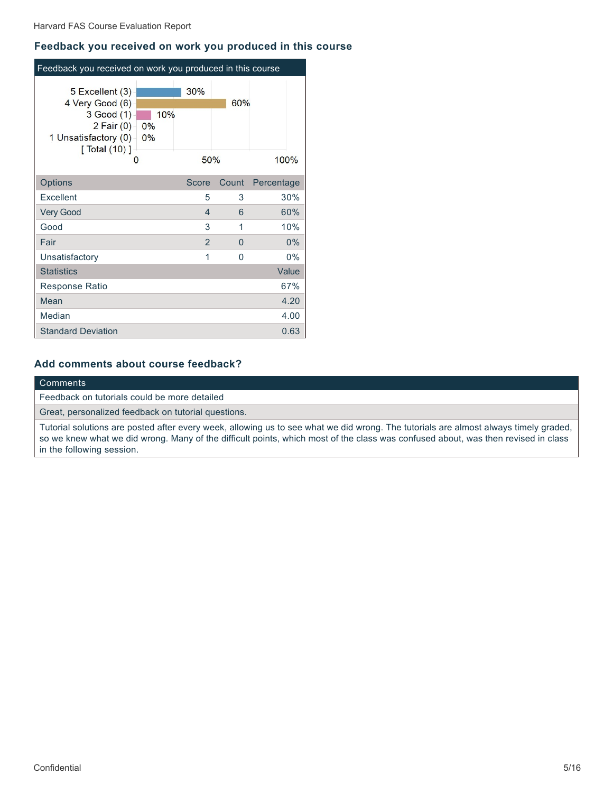#### **Feedback you received on work you produced in this course**

| Feedback you received on work you produced in this course                                                                        |                 |                |          |            |
|----------------------------------------------------------------------------------------------------------------------------------|-----------------|----------------|----------|------------|
| 5 Excellent (3)<br>4 Very Good (6)<br>3 Good (1)<br>2 Fair $(0)$<br>1 Unsatisfactory (0)-<br>$\lceil$ Total $(10)$ ]<br>$\Omega$ | 10%<br>0%<br>0% | 30%<br>50%     | 60%      | 100%       |
| Options                                                                                                                          |                 | Score          | Count    | Percentage |
| Excellent                                                                                                                        |                 | 5              | 3        | 30%        |
| <b>Very Good</b>                                                                                                                 |                 | 4              | 6        | 60%        |
| Good                                                                                                                             |                 | 3              | 1        | 10%        |
| Fair                                                                                                                             |                 | $\overline{2}$ | $\Omega$ | 0%         |
| Unsatisfactory                                                                                                                   |                 | 1              | $\Omega$ | 0%         |
| <b>Statistics</b>                                                                                                                |                 |                |          | Value      |
| <b>Response Ratio</b>                                                                                                            |                 |                |          | 67%        |
| Mean                                                                                                                             |                 |                |          | 4.20       |
| Median                                                                                                                           |                 |                |          | 4.00       |
| <b>Standard Deviation</b>                                                                                                        |                 |                |          | 0.63       |

## **Add comments about course feedback?**

#### Comments

Feedback on tutorials could be more detailed

Great, personalized feedback on tutorial questions.

Tutorial solutions are posted after every week, allowing us to see what we did wrong. The tutorials are almost always timely graded, so we knew what we did wrong. Many of the difficult points, which most of the class was confused about, was then revised in class in the following session.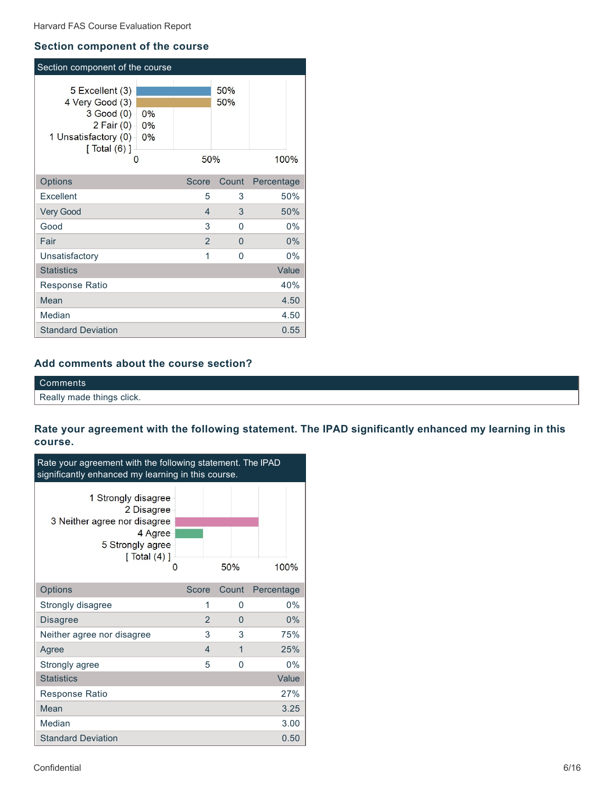### **Section component of the course**

| Section component of the course                                                                                        |                |              |            |            |
|------------------------------------------------------------------------------------------------------------------------|----------------|--------------|------------|------------|
| 5 Excellent (3)<br>4 Very Good (3)<br>$3$ Good $(0)$<br>2 Fair $(0)$<br>1 Unsatisfactory (0) –<br>[ $Total (6)$ ]<br>O | 0%<br>0%<br>0% | 50%          | 50%<br>50% | 100%       |
| Options                                                                                                                |                | <b>Score</b> | Count      | Percentage |
| Excellent                                                                                                              |                | 5            | 3          | 50%        |
| <b>Very Good</b>                                                                                                       |                | 4            | 3          | 50%        |
| Good                                                                                                                   |                | 3            | 0          | $0\%$      |
| Fair                                                                                                                   |                | 2            | 0          | 0%         |
| Unsatisfactory                                                                                                         |                | 1            | $\Omega$   | $0\%$      |
| <b>Statistics</b>                                                                                                      |                |              |            | Value      |
| Response Ratio                                                                                                         |                |              |            | 40%        |
| Mean                                                                                                                   |                |              |            | 4.50       |
| Median                                                                                                                 |                |              |            | 4.50       |
| <b>Standard Deviation</b>                                                                                              |                |              |            | 0.55       |

# **Add comments about the course section?**

Comments Really made things click.

**Rate your agreement with the following statement. The IPAD significantly enhanced my learning in this course.**

| Rate your agreement with the following statement. The IPAD<br>significantly enhanced my learning in this course.           |                |          |            |  |  |  |  |
|----------------------------------------------------------------------------------------------------------------------------|----------------|----------|------------|--|--|--|--|
| 1 Strongly disagree<br>2 Disagree<br>3 Neither agree nor disagree<br>4 Agree<br>5 Strongly agree<br>$\lceil$ Total $(4)$ ] | O              | 50%      | 100%       |  |  |  |  |
| Options                                                                                                                    | Score          | Count    | Percentage |  |  |  |  |
| Strongly disagree                                                                                                          | 1              | $\Omega$ | $0\%$      |  |  |  |  |
| <b>Disagree</b>                                                                                                            | $\overline{2}$ | 0        | 0%         |  |  |  |  |
| Neither agree nor disagree                                                                                                 | 3              | 3        | 75%        |  |  |  |  |
| Agree                                                                                                                      | 4              | 1        | 25%        |  |  |  |  |
| Strongly agree                                                                                                             | 5              | 0        | 0%         |  |  |  |  |
| <b>Statistics</b>                                                                                                          |                |          | Value      |  |  |  |  |
| Response Ratio                                                                                                             |                |          | 27%        |  |  |  |  |
| Mean                                                                                                                       |                |          | 3.25       |  |  |  |  |
| Median                                                                                                                     |                |          | 3.00       |  |  |  |  |
| <b>Standard Deviation</b>                                                                                                  |                |          | 0.50       |  |  |  |  |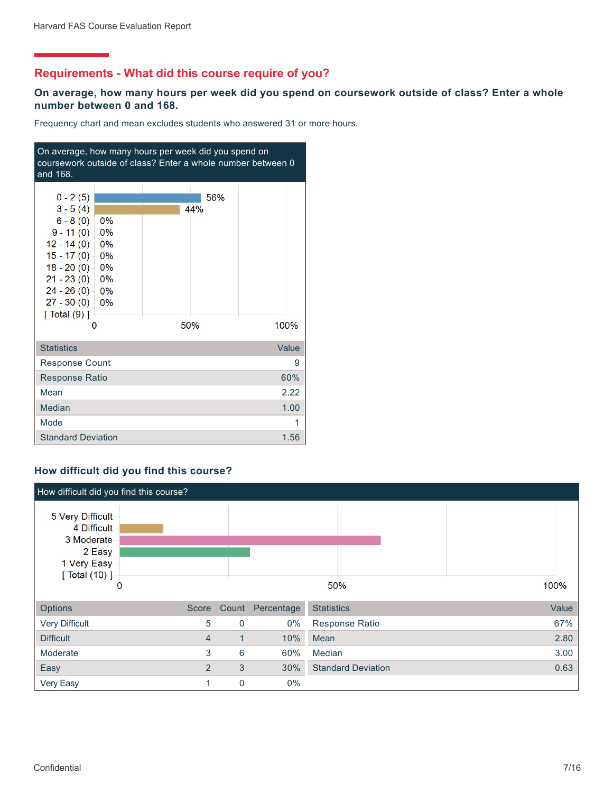# **Requirements - What did this course require of you?**

### **On average, how many hours per week did you spend on coursework outside of class? Enter a whole number between 0 and 168.**

Frequency chart and mean excludes students who answered 31 or more hours.

| On average, how many hours per week did you spend on<br>coursework outside of class? Enter a whole number between 0<br>and 168.                                                                                                 |                   |       |  |  |  |  |
|---------------------------------------------------------------------------------------------------------------------------------------------------------------------------------------------------------------------------------|-------------------|-------|--|--|--|--|
| $0 - 2(5)$<br>$3 - 5(4)$<br>$6 - 8(0) - 0\%$<br>$9 - 11(0)$<br>0%<br>$12 - 14(0) - 0\%$<br>$15 - 17(0)$<br>0%<br>$18 - 20(0) - 0\%$<br>$21 - 23(0) - 0\%$<br>$24 - 26(0) - 0\%$<br>$27 - 30(0) - 0\%$<br>$[$ Total $(9)$ ]<br>O | 56%<br>44%<br>50% | 100%  |  |  |  |  |
| <b>Statistics</b>                                                                                                                                                                                                               |                   | Value |  |  |  |  |
| <b>Response Count</b>                                                                                                                                                                                                           |                   | 9     |  |  |  |  |
| <b>Response Ratio</b>                                                                                                                                                                                                           |                   | 60%   |  |  |  |  |
| Mean                                                                                                                                                                                                                            |                   | 2.22  |  |  |  |  |
| Median                                                                                                                                                                                                                          |                   | 1.00  |  |  |  |  |
| Mode                                                                                                                                                                                                                            |                   | 1     |  |  |  |  |
| <b>Standard Deviation</b>                                                                                                                                                                                                       |                   | 1.56  |  |  |  |  |

## **How difficult did you find this course?**

| How difficult did you find this course?                                                              |                |             |            |                           |       |
|------------------------------------------------------------------------------------------------------|----------------|-------------|------------|---------------------------|-------|
| 5 Very Difficult<br>4 Difficult<br>3 Moderate<br>2 Easy<br>1 Very Easy<br>[ Total (10) ]<br>$\bf{0}$ |                |             |            | 50%                       | 100%  |
| <b>Options</b>                                                                                       |                | Score Count | Percentage | <b>Statistics</b>         | Value |
| <b>Very Difficult</b>                                                                                | 5              | 0           | $0\%$      | Response Ratio            | 67%   |
| <b>Difficult</b>                                                                                     | $\overline{4}$ | $\mathbf 1$ | 10%        | Mean                      | 2.80  |
| Moderate                                                                                             | 3              | 6           | 60%        | Median                    | 3.00  |
| Easy                                                                                                 | $\overline{2}$ | 3           | 30%        | <b>Standard Deviation</b> | 0.63  |
| Very Easy                                                                                            |                | $\mathbf 0$ | $0\%$      |                           |       |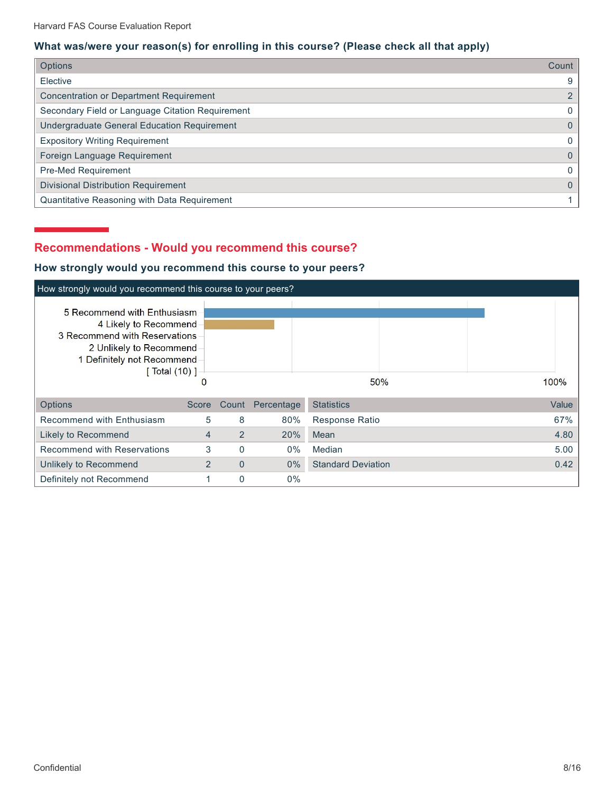# **What was/were your reason(s) for enrolling in this course? (Please check all that apply)**

| <b>Options</b>                                   | Count |
|--------------------------------------------------|-------|
| Elective                                         | 9     |
| <b>Concentration or Department Requirement</b>   | 2     |
| Secondary Field or Language Citation Requirement | 0     |
| Undergraduate General Education Requirement      | 0     |
| <b>Expository Writing Requirement</b>            | 0     |
| Foreign Language Requirement                     | 0     |
| Pre-Med Requirement                              | 0     |
| <b>Divisional Distribution Requirement</b>       | 0     |
| Quantitative Reasoning with Data Requirement     |       |

# **Recommendations - Would you recommend this course?**

# **How strongly would you recommend this course to your peers?**

| How strongly would you recommend this course to your peers?                                                                                                      |       |                |            |                           |  |       |  |  |
|------------------------------------------------------------------------------------------------------------------------------------------------------------------|-------|----------------|------------|---------------------------|--|-------|--|--|
| 5 Recommend with Enthusiasm<br>4 Likely to Recommend<br>3 Recommend with Reservations<br>2 Unlikely to Recommend<br>1 Definitely not Recommend<br>[ Total (10) ] |       |                |            | 50%                       |  | 100%  |  |  |
| <b>Options</b>                                                                                                                                                   | Score | Count          | Percentage | <b>Statistics</b>         |  | Value |  |  |
| Recommend with Enthusiasm                                                                                                                                        | 5     | 8              | 80%        | <b>Response Ratio</b>     |  | 67%   |  |  |
| Likely to Recommend                                                                                                                                              | 4     | 2              | 20%        | Mean                      |  | 4.80  |  |  |
| <b>Recommend with Reservations</b>                                                                                                                               | 3     | $\mathbf 0$    | 0%         | Median                    |  | 5.00  |  |  |
| Unlikely to Recommend                                                                                                                                            | 2     | $\overline{0}$ | $0\%$      | <b>Standard Deviation</b> |  | 0.42  |  |  |
| Definitely not Recommend                                                                                                                                         |       | 0              | 0%         |                           |  |       |  |  |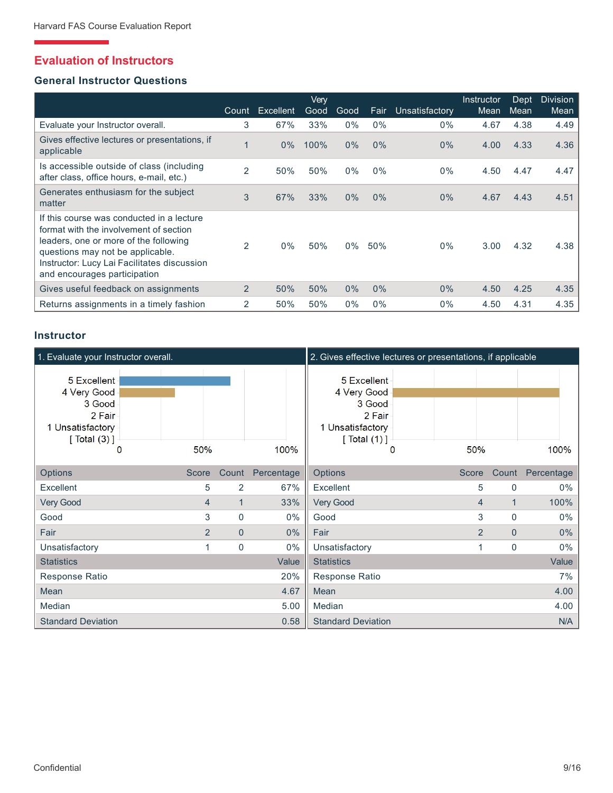# **Evaluation of Instructors**

## **General Instructor Questions**

|                                                                                                                                                                                                                                                 | Count          | Excellent | Verv<br>Good | Good  | Fair  | Unsatisfactory | Instructor<br>Mean | Dept<br>Mean | <b>Division</b><br>Mean |
|-------------------------------------------------------------------------------------------------------------------------------------------------------------------------------------------------------------------------------------------------|----------------|-----------|--------------|-------|-------|----------------|--------------------|--------------|-------------------------|
| Evaluate your Instructor overall.                                                                                                                                                                                                               | 3              | 67%       | 33%          | 0%    | $0\%$ | $0\%$          | 4.67               | 4.38         | 4.49                    |
| Gives effective lectures or presentations, if<br>applicable                                                                                                                                                                                     |                | $0\%$     | 100%         | $0\%$ | $0\%$ | 0%             | 4.00               | 4.33         | 4.36                    |
| Is accessible outside of class (including<br>after class, office hours, e-mail, etc.)                                                                                                                                                           | 2              | 50%       | 50%          | $0\%$ | $0\%$ | $0\%$          | 4.50               | 4.47         | 4.47                    |
| Generates enthusiasm for the subject<br>matter                                                                                                                                                                                                  | 3              | 67%       | 33%          | $0\%$ | 0%    | 0%             | 4.67               | 4.43         | 4.51                    |
| If this course was conducted in a lecture<br>format with the involvement of section<br>leaders, one or more of the following<br>questions may not be applicable.<br>Instructor: Lucy Lai Facilitates discussion<br>and encourages participation | $\overline{2}$ | $0\%$     | 50%          | 0%    | 50%   | 0%             | 3.00               | 4.32         | 4.38                    |
| Gives useful feedback on assignments                                                                                                                                                                                                            | $\overline{2}$ | 50%       | 50%          | $0\%$ | $0\%$ | $0\%$          | 4.50               | 4.25         | 4.35                    |
| Returns assignments in a timely fashion                                                                                                                                                                                                         | 2              | 50%       | 50%          | $0\%$ | $0\%$ | $0\%$          | 4.50               | 4.31         | 4.35                    |

## **Instructor**

| 1. Evaluate your Instructor overall.                                                          |       |                     |            | 2. Gives effective lectures or presentations, if applicable                            |       |                     |            |
|-----------------------------------------------------------------------------------------------|-------|---------------------|------------|----------------------------------------------------------------------------------------|-------|---------------------|------------|
| 5 Excellent<br>4 Very Good<br>3 Good<br>2 Fair<br>1 Unsatisfactory<br>[Total (3)]<br>$\Omega$ | 50%   |                     | 100%       | 5 Excellent<br>4 Very Good<br>3 Good<br>2 Fair<br>1 Unsatisfactory<br>[Total (1)]<br>0 | 50%   |                     | 100%       |
| <b>Options</b>                                                                                | Score | Count               | Percentage | <b>Options</b>                                                                         | Score | Count               | Percentage |
| Excellent                                                                                     |       | $\overline{2}$<br>5 | 67%        | Excellent                                                                              |       | 5<br>$\Omega$       | $0\%$      |
| <b>Very Good</b>                                                                              |       | $\mathbf{1}$<br>4   | 33%        | <b>Very Good</b>                                                                       |       | 1<br>$\overline{4}$ | 100%       |
| Good                                                                                          |       | 3<br>0              | 0%         | Good                                                                                   |       | 3<br>$\mathbf{0}$   | 0%         |
| Fair                                                                                          |       | 2<br>$\overline{0}$ | 0%         | Fair                                                                                   |       | 2<br>$\mathbf{0}$   | 0%         |
| Unsatisfactory                                                                                |       | $\mathbf 0$<br>1    | $0\%$      | Unsatisfactory                                                                         |       | 0<br>1              | $0\%$      |
| <b>Statistics</b>                                                                             |       |                     | Value      | <b>Statistics</b>                                                                      |       |                     | Value      |
| Response Ratio                                                                                |       |                     | 20%        | Response Ratio                                                                         |       |                     | 7%         |
| Mean                                                                                          |       |                     | 4.67       | Mean                                                                                   |       |                     | 4.00       |
| Median                                                                                        |       |                     | 5.00       | Median                                                                                 |       |                     | 4.00       |
| <b>Standard Deviation</b>                                                                     |       |                     | 0.58       | <b>Standard Deviation</b>                                                              |       |                     | N/A        |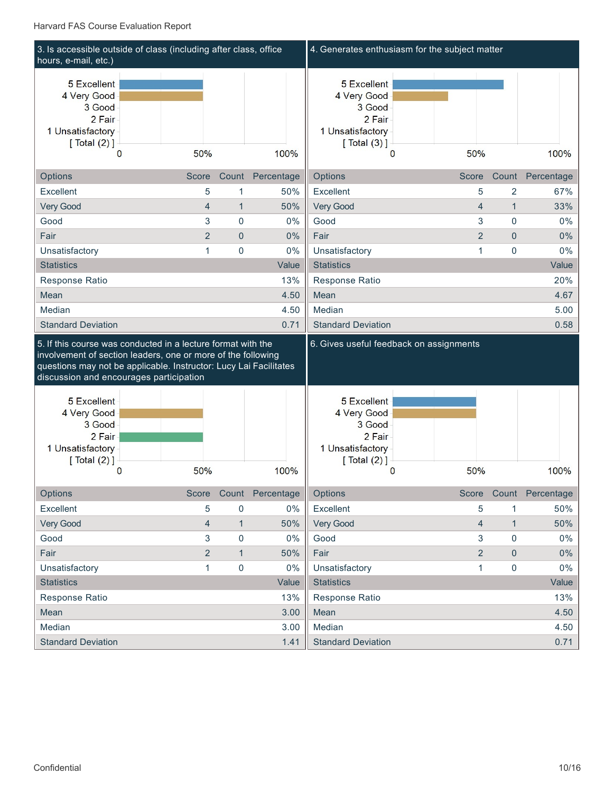| hours, e-mail, etc.)                                                                                                         |                |                     | 3. Is accessible outside of class (including after class, office | 4. Generates enthusiasm for the subject matter                                                    |                |                     |                        |
|------------------------------------------------------------------------------------------------------------------------------|----------------|---------------------|------------------------------------------------------------------|---------------------------------------------------------------------------------------------------|----------------|---------------------|------------------------|
| 5 Excellent<br>4 Very Good<br>3 Good<br>2 Fair<br>1 Unsatisfactory<br>[Total (2)]<br>$\Omega$                                | 50%            |                     | 100%                                                             | 5 Excellent<br>4 Very Good<br>3 Good<br>2 Fair<br>1 Unsatisfactory<br>[Total (3)]<br>0            | 50%            |                     | 100%                   |
|                                                                                                                              |                |                     |                                                                  |                                                                                                   |                |                     |                        |
| Options                                                                                                                      | Score          |                     | Count Percentage                                                 | Options                                                                                           | Score          |                     | Count Percentage       |
| Excellent                                                                                                                    | 5              | 1                   | 50%                                                              | Excellent                                                                                         | 5              | 2                   | 67%                    |
| Very Good                                                                                                                    | $\overline{4}$ | $\mathbf{1}$        | 50%                                                              | Very Good                                                                                         | $\overline{4}$ | $\mathbf{1}$        | 33%                    |
| Good                                                                                                                         | 3              | 0                   | 0%                                                               | Good                                                                                              | 3              | $\mathbf 0$         | 0%                     |
| Fair                                                                                                                         | $\overline{2}$ | $\overline{0}$      | 0%                                                               | Fair                                                                                              | $\overline{2}$ | $\mathbf{0}$        | 0%                     |
| Unsatisfactory                                                                                                               | $\mathbf{1}$   | $\mathbf 0$         | 0%                                                               | Unsatisfactory                                                                                    | $\mathbf{1}$   | $\mathbf 0$         | 0%                     |
| <b>Statistics</b>                                                                                                            |                |                     | Value                                                            | <b>Statistics</b>                                                                                 |                |                     | Value                  |
| Response Ratio                                                                                                               |                |                     | 13%                                                              | Response Ratio                                                                                    |                |                     | 20%                    |
| Mean                                                                                                                         |                |                     | 4.50                                                             | Mean                                                                                              |                |                     | 4.67                   |
| Median                                                                                                                       |                |                     | 4.50                                                             | Median                                                                                            |                |                     | 5.00                   |
| <b>Standard Deviation</b>                                                                                                    |                |                     | 0.71                                                             | <b>Standard Deviation</b>                                                                         |                |                     | 0.58                   |
| 5. If this course was conducted in a lecture format with the<br>involvement of section leaders, one or more of the following |                |                     |                                                                  | 6. Gives useful feedback on assignments                                                           |                |                     |                        |
| questions may not be applicable. Instructor: Lucy Lai Facilitates<br>discussion and encourages participation                 |                |                     |                                                                  |                                                                                                   |                |                     |                        |
| <b>5</b> Excellent<br>4 Very Good<br>3 Good<br>2 Fair<br>1 Unsatisfactory<br>[ $Total (2)$ ]<br>0                            | 50%            |                     | 100%                                                             | <b>5 Excellent</b><br>4 Very Good<br>3 Good<br>2 Fair<br>1 Unsatisfactory<br>[ $Total (2)$ ]<br>0 | 50%            |                     | 100%                   |
| <b>Options</b>                                                                                                               |                |                     | Score Count Percentage                                           | Options                                                                                           |                |                     | Score Count Percentage |
| Excellent                                                                                                                    | 5              | 0                   | $0\%$                                                            | Excellent                                                                                         | 5              |                     | 50%                    |
|                                                                                                                              | 4              | $\mathbf{1}$        | 50%                                                              |                                                                                                   | $\overline{4}$ | $\mathbf{1}$        | 50%                    |
| Very Good<br>Good                                                                                                            | 3              | 0                   | 0%                                                               | Very Good<br>Good                                                                                 | $\mathbf{3}$   | $\pmb{0}$           | $0\%$                  |
| Fair                                                                                                                         | $\overline{2}$ | $\mathbf{1}$        | 50%                                                              | Fair                                                                                              | $\overline{2}$ | $\mathbf 0$         | $0\%$                  |
|                                                                                                                              | $\mathbf{1}$   |                     | 0%                                                               |                                                                                                   | $\mathbf{1}$   | $\mathsf{O}\xspace$ | $0\%$                  |
| Unsatisfactory<br><b>Statistics</b>                                                                                          |                | $\mathsf{O}\xspace$ | Value                                                            | Unsatisfactory<br><b>Statistics</b>                                                               |                |                     | Value                  |
|                                                                                                                              |                |                     | 13%                                                              |                                                                                                   |                |                     |                        |
| Response Ratio                                                                                                               |                |                     |                                                                  | Response Ratio                                                                                    |                |                     | 13%                    |
| Mean<br>Median                                                                                                               |                |                     | 3.00<br>3.00                                                     | Mean<br>Median                                                                                    |                |                     | 4.50<br>4.50           |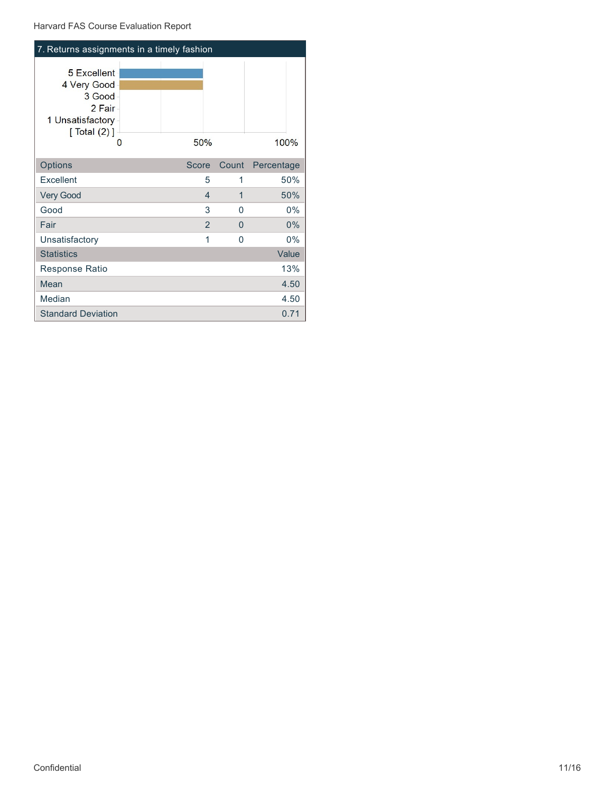```
Harvard FAS Course Evaluation Report
```
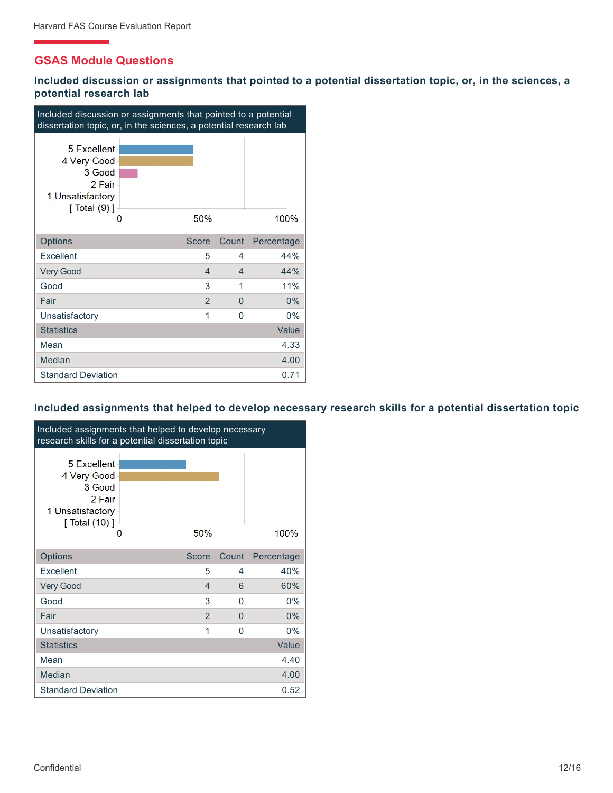# **GSAS Module Questions**

**Included discussion or assignments that pointed to a potential dissertation topic, or, in the sciences, a potential research lab**

| Included discussion or assignments that pointed to a potential<br>dissertation topic, or, in the sciences, a potential research lab |  |                |                          |            |  |  |
|-------------------------------------------------------------------------------------------------------------------------------------|--|----------------|--------------------------|------------|--|--|
| 5 Excellent<br>4 Very Good<br>3 Good<br>2 Fair<br>1 Unsatisfactory<br>$[$ Total $(9)$ ]<br>O                                        |  | 50%            |                          | 100%       |  |  |
| Options                                                                                                                             |  | Score          | Count                    | Percentage |  |  |
| Excellent                                                                                                                           |  | 5              | 4                        | 44%        |  |  |
| <b>Very Good</b>                                                                                                                    |  | 4              | $\overline{\mathcal{A}}$ | 44%        |  |  |
| Good                                                                                                                                |  | 3              | 1                        | 11%        |  |  |
| Fair                                                                                                                                |  | $\overline{2}$ | $\Omega$                 | 0%         |  |  |
| Unsatisfactory                                                                                                                      |  | 1              | $\Omega$                 | 0%         |  |  |
| <b>Statistics</b>                                                                                                                   |  |                |                          | Value      |  |  |
| Mean                                                                                                                                |  |                |                          | 4.33       |  |  |
| Median                                                                                                                              |  |                |                          | 4.00       |  |  |
| <b>Standard Deviation</b>                                                                                                           |  |                |                          | 0.71       |  |  |

### **Included assignments that helped to develop necessary research skills for a potential dissertation topic**

| Included assignments that helped to develop necessary<br>research skills for a potential dissertation topic |  |               |              |            |  |  |  |
|-------------------------------------------------------------------------------------------------------------|--|---------------|--------------|------------|--|--|--|
| 5 Excellent<br>4 Very Good<br>3 Good<br>2 Fair<br>1 Unsatisfactory<br>$\lceil$ Total $(10)$ $\rceil$<br>O   |  | 50%           |              | 100%       |  |  |  |
| <b>Options</b>                                                                                              |  | <b>Score</b>  | Count        | Percentage |  |  |  |
| Excellent                                                                                                   |  | 5             | 4            | 40%        |  |  |  |
| <b>Very Good</b>                                                                                            |  | 4             | 6            | 60%        |  |  |  |
| Good                                                                                                        |  | 3             | $\Omega$     | $0\%$      |  |  |  |
| Fair                                                                                                        |  | $\mathcal{P}$ | <sup>0</sup> | 0%         |  |  |  |
| Unsatisfactory                                                                                              |  | 1             | $\Omega$     | $0\%$      |  |  |  |
| <b>Statistics</b>                                                                                           |  |               |              | Value      |  |  |  |
| Mean                                                                                                        |  |               |              | 4.40       |  |  |  |
| Median                                                                                                      |  |               |              | 4.00       |  |  |  |
| <b>Standard Deviation</b>                                                                                   |  |               |              | 0.52       |  |  |  |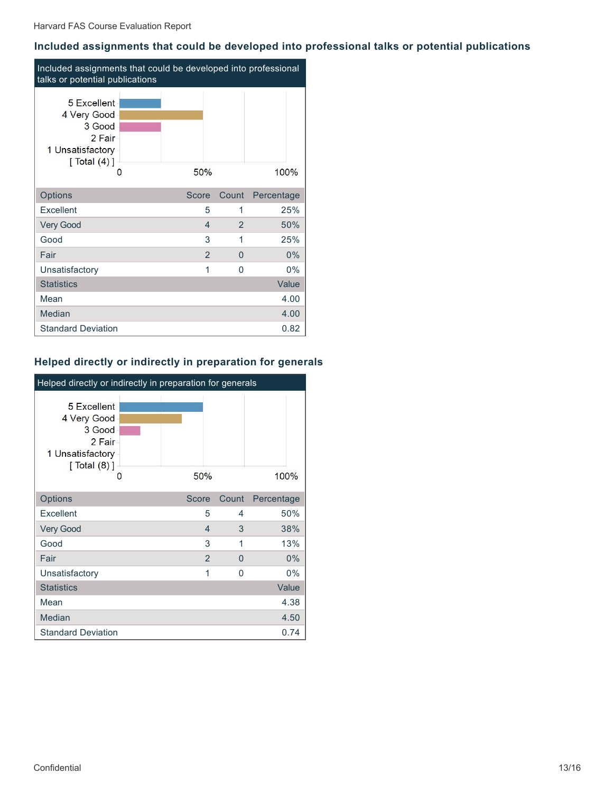## **Included assignments that could be developed into professional talks or potential publications**

| Included assignments that could be developed into professional<br>talks or potential publications |  |       |                |          |            |  |  |
|---------------------------------------------------------------------------------------------------|--|-------|----------------|----------|------------|--|--|
| 5 Excellent<br>4 Very Good<br>3 Good<br>2 Fair<br>1 Unsatisfactory<br>[Total (4)]<br>O            |  | 50%   |                |          | 100%       |  |  |
| Options                                                                                           |  | Score |                | Count    | Percentage |  |  |
| Excellent                                                                                         |  |       | 5              | 1        | 25%        |  |  |
| <b>Very Good</b>                                                                                  |  |       | $\overline{4}$ | 2        | 50%        |  |  |
| Good                                                                                              |  |       | 3              | 1        | 25%        |  |  |
| Fair                                                                                              |  |       | 2              | $\Omega$ | $0\%$      |  |  |
| Unsatisfactory                                                                                    |  |       | 1              | $\Omega$ | 0%         |  |  |
| <b>Statistics</b>                                                                                 |  |       |                |          | Value      |  |  |
| Mean                                                                                              |  |       |                |          | 4.00       |  |  |
| Median                                                                                            |  |       |                |          | 4.00       |  |  |
| <b>Standard Deviation</b>                                                                         |  |       |                |          | 0.82       |  |  |

## **Helped directly or indirectly in preparation for generals**

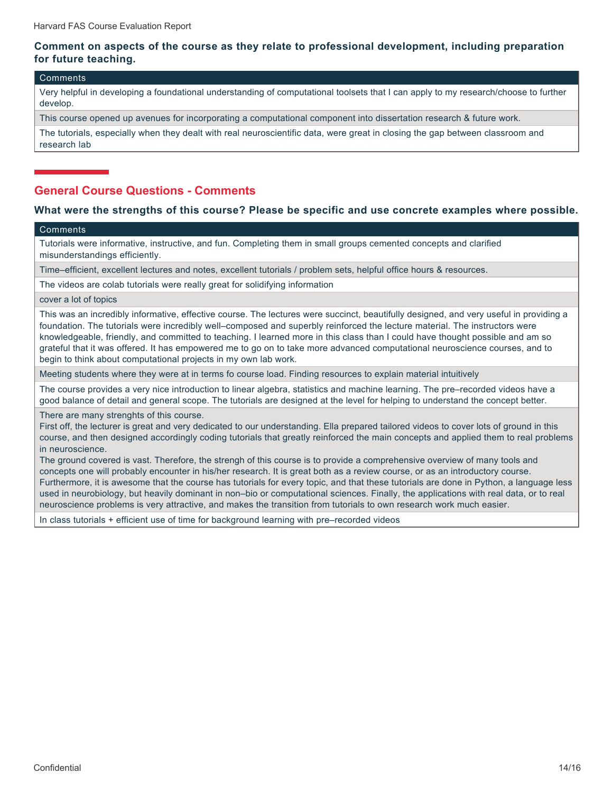## **Comment on aspects of the course as they relate to professional development, including preparation for future teaching.**

#### Comments

Very helpful in developing a foundational understanding of computational toolsets that I can apply to my research/choose to further develop.

This course opened up avenues for incorporating a computational component into dissertation research & future work.

The tutorials, especially when they dealt with real neuroscientific data, were great in closing the gap between classroom and research lab

## **General Course Questions - Comments**

#### **What were the strengths of this course? Please be specific and use concrete examples where possible.**

#### **Comments**

Tutorials were informative, instructive, and fun. Completing them in small groups cemented concepts and clarified misunderstandings efficiently.

Time–efficient, excellent lectures and notes, excellent tutorials / problem sets, helpful office hours & resources.

The videos are colab tutorials were really great for solidifying information

cover a lot of topics

This was an incredibly informative, effective course. The lectures were succinct, beautifully designed, and very useful in providing a foundation. The tutorials were incredibly well–composed and superbly reinforced the lecture material. The instructors were knowledgeable, friendly, and committed to teaching. I learned more in this class than I could have thought possible and am so grateful that it was offered. It has empowered me to go on to take more advanced computational neuroscience courses, and to begin to think about computational projects in my own lab work.

Meeting students where they were at in terms fo course load. Finding resources to explain material intuitively

The course provides a very nice introduction to linear algebra, statistics and machine learning. The pre–recorded videos have a good balance of detail and general scope. The tutorials are designed at the level for helping to understand the concept better.

There are many strenghts of this course.

First off, the lecturer is great and very dedicated to our understanding. Ella prepared tailored videos to cover lots of ground in this course, and then designed accordingly coding tutorials that greatly reinforced the main concepts and applied them to real problems in neuroscience.

The ground covered is vast. Therefore, the strengh of this course is to provide a comprehensive overview of many tools and concepts one will probably encounter in his/her research. It is great both as a review course, or as an introductory course. Furthermore, it is awesome that the course has tutorials for every topic, and that these tutorials are done in Python, a language less used in neurobiology, but heavily dominant in non–bio or computational sciences. Finally, the applications with real data, or to real neuroscience problems is very attractive, and makes the transition from tutorials to own research work much easier.

In class tutorials + efficient use of time for background learning with pre–recorded videos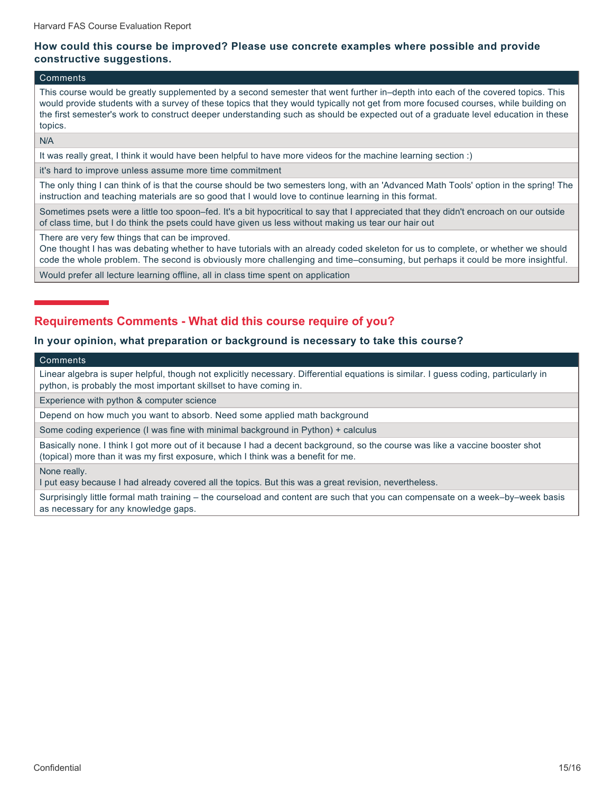### **How could this course be improved? Please use concrete examples where possible and provide constructive suggestions.**

#### Comments

This course would be greatly supplemented by a second semester that went further in–depth into each of the covered topics. This would provide students with a survey of these topics that they would typically not get from more focused courses, while building on the first semester's work to construct deeper understanding such as should be expected out of a graduate level education in these topics.

N/A

It was really great, I think it would have been helpful to have more videos for the machine learning section :)

it's hard to improve unless assume more time commitment

The only thing I can think of is that the course should be two semesters long, with an 'Advanced Math Tools' option in the spring! The instruction and teaching materials are so good that I would love to continue learning in this format.

Sometimes psets were a little too spoon–fed. It's a bit hypocritical to say that I appreciated that they didn't encroach on our outside of class time, but I do think the psets could have given us less without making us tear our hair out

There are very few things that can be improved.

One thought I has was debating whether to have tutorials with an already coded skeleton for us to complete, or whether we should code the whole problem. The second is obviously more challenging and time–consuming, but perhaps it could be more insightful.

Would prefer all lecture learning offline, all in class time spent on application

# **Requirements Comments - What did this course require of you?**

#### **In your opinion, what preparation or background is necessary to take this course?**

#### Comments

Linear algebra is super helpful, though not explicitly necessary. Differential equations is similar. I guess coding, particularly in python, is probably the most important skillset to have coming in.

Experience with python & computer science

Depend on how much you want to absorb. Need some applied math background

Some coding experience (I was fine with minimal background in Python) + calculus

Basically none. I think I got more out of it because I had a decent background, so the course was like a vaccine booster shot (topical) more than it was my first exposure, which I think was a benefit for me.

None really.

I put easy because I had already covered all the topics. But this was a great revision, nevertheless.

Surprisingly little formal math training – the courseload and content are such that you can compensate on a week–by–week basis as necessary for any knowledge gaps.